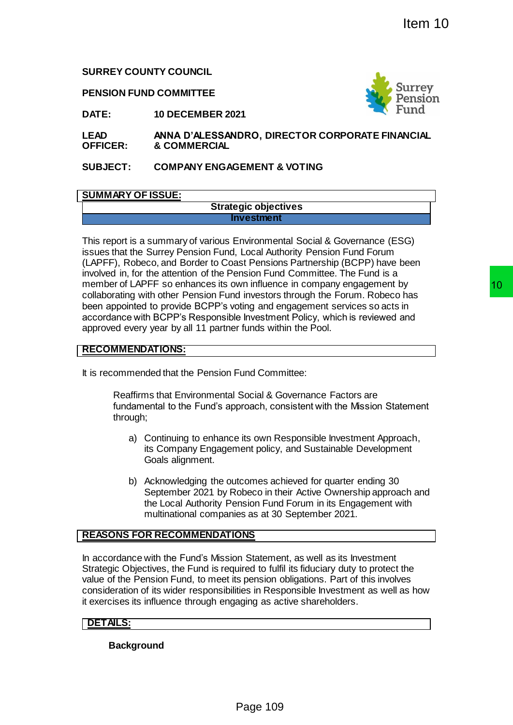**SURREY COUNTY COUNCIL**

**PENSION FUND COMMITTEE**



**DATE: 10 DECEMBER 2021**

**LEAD OFFICER: ANNA D'ALESSANDRO, DIRECTOR CORPORATE FINANCIAL & COMMERCIAL**

**SUBJECT: COMPANY ENGAGEMENT & VOTING**

# **SUMMARY OF ISSUE:**

#### **Strategic objectives Investment**

This report is a summary of various Environmental Social & Governance (ESG) issues that the Surrey Pension Fund, Local Authority Pension Fund Forum (LAPFF), Robeco, and Border to Coast Pensions Partnership (BCPP) have been involved in, for the attention of the Pension Fund Committee. The Fund is a member of LAPFF so enhances its own influence in company engagement by collaborating with other Pension Fund investors through the Forum. Robeco has been appointed to provide BCPP's voting and engagement services so acts in accordance with BCPP's Responsible Investment Policy, which is reviewed and approved every year by all 11 partner funds within the Pool. The State of State of State of State of State of State of State of State of State of State of State of State of State of State of State of State of State of State of State of State of State of State of State of State of St

# **RECOMMENDATIONS:**

It is recommended that the Pension Fund Committee:

Reaffirms that Environmental Social & Governance Factors are fundamental to the Fund's approach, consistent with the Mission Statement through;

- a) Continuing to enhance its own Responsible Investment Approach, its Company Engagement policy, and Sustainable Development Goals alignment.
- b) Acknowledging the outcomes achieved for quarter ending 30 September 2021 by Robeco in their Active Ownership approach and the Local Authority Pension Fund Forum in its Engagement with multinational companies as at 30 September 2021.

# **REASONS FOR RECOMMENDATIONS**

In accordance with the Fund's Mission Statement, as well as its Investment Strategic Objectives, the Fund is required to fulfil its fiduciary duty to protect the value of the Pension Fund, to meet its pension obligations. Part of this involves consideration of its wider responsibilities in Responsible Investment as well as how it exercises its influence through engaging as active shareholders.

# **DETAILS:**

**Background**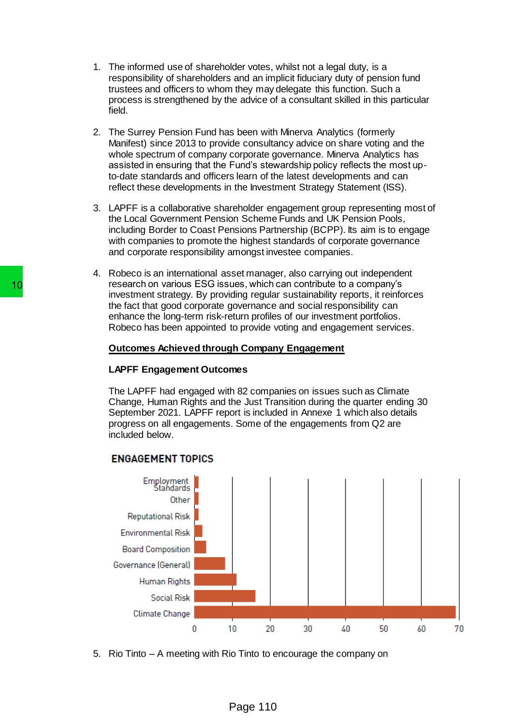- 1. The informed use of shareholder votes, whilst not a legal duty, is a responsibility of shareholders and an implicit fiduciary duty of pension fund trustees and officers to whom they may delegate this function. Such a process is strengthened by the advice of a consultant skilled in this particular field.
- 2. The Surrey Pension Fund has been with Minerva Analytics (formerly Manifest) since 2013 to provide consultancy advice on share voting and the whole spectrum of company corporate governance. Minerva Analytics has assisted in ensuring that the Fund's stewardship policy reflects the most upto-date standards and officers learn of the latest developments and can reflect these developments in the Investment Strategy Statement (ISS).
- 3. LAPFF is a collaborative shareholder engagement group representing most of the Local Government Pension Scheme Funds and UK Pension Pools, including Border to Coast Pensions Partnership (BCPP). Its aim is to engage with companies to promote the highest standards of corporate governance and corporate responsibility amongst investee companies.
- 4. Robeco is an international asset manager, also carrying out independent research on various ESG issues, which can contribute to a company's investment strategy. By providing regular sustainability reports, it reinforces the fact that good corporate governance and social responsibility can enhance the long-term risk-return profiles of our investment portfolios. Robeco has been appointed to provide voting and engagement services.

## **Outcomes Achieved through Company Engagement**

## **LAPFF Engagement Outcomes**

The LAPFF had engaged with 82 companies on issues such as Climate Change, Human Rights and the Just Transition during the quarter ending 30 September 2021. LAPFF report is included in Annexe 1 which also details progress on all engagements. Some of the engagements from Q2 are included below.



5. Rio Tinto – A meeting with Rio Tinto to encourage the company on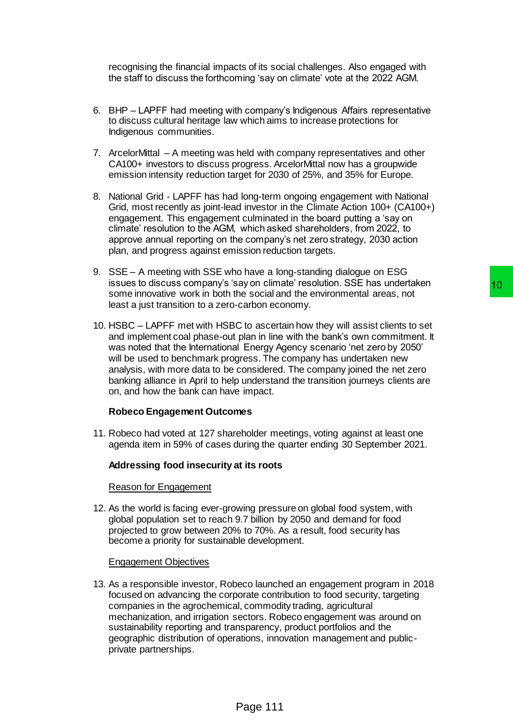recognising the financial impacts of its social challenges. Also engaged with the staff to discuss the forthcoming 'say on climate' vote at the 2022 AGM.

- 6. BHP LAPFF had meeting with company's Indigenous Affairs representative to discuss cultural heritage law which aims to increase protections for Indigenous communities.
- 7. ArcelorMittal A meeting was held with company representatives and other CA100+ investors to discuss progress. ArcelorMittal now has a groupwide emission intensity reduction target for 2030 of 25%, and 35% for Europe.
- 8. National Grid LAPFF has had long-term ongoing engagement with National Grid, most recently as joint-lead investor in the Climate Action 100+ (CA100+) engagement. This engagement culminated in the board putting a 'say on climate' resolution to the AGM, which asked shareholders, from 2022, to approve annual reporting on the company's net zero strategy, 2030 action plan, and progress against emission reduction targets.
- 9. SSE A meeting with SSE who have a long-standing dialogue on ESG issues to discuss company's 'say on climate' resolution. SSE has undertaken some innovative work in both the social and the environmental areas, not least a just transition to a zero-carbon economy.
- 10. HSBC LAPFF met with HSBC to ascertain how they will assist clients to set and implement coal phase-out plan in line with the bank's own commitment. It was noted that the International Energy Agency scenario 'net zero by 2050' will be used to benchmark progress. The company has undertaken new analysis, with more data to be considered. The company joined the net zero banking alliance in April to help understand the transition journeys clients are on, and how the bank can have impact. is a mortal resolution. SSE has undertaced the existing of climate resolution. The social and the environmental areas, not<br>carbon economy.<br>C to ascertain how they will assist clients to set<br>the plan in line with the bank's

## **Robeco Engagement Outcomes**

11. Robeco had voted at 127 shareholder meetings, voting against at least one agenda item in 59% of cases during the quarter ending 30 September 2021.

## **Addressing food insecurity at its roots**

#### Reason for Engagement

12. As the world is facing ever-growing pressure on global food system, with global population set to reach 9.7 billion by 2050 and demand for food projected to grow between 20% to 70%. As a result, food security has become a priority for sustainable development.

## Engagement Objectives

13. As a responsible investor, Robeco launched an engagement program in 2018 focused on advancing the corporate contribution to food security, targeting companies in the agrochemical, commodity trading, agricultural mechanization, and irrigation sectors. Robeco engagement was around on sustainability reporting and transparency, product portfolios and the geographic distribution of operations, innovation management and publicprivate partnerships.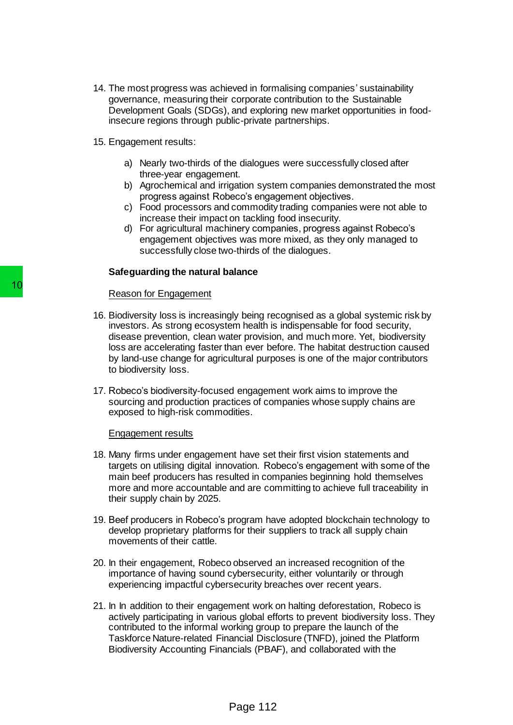- 14. The most progress was achieved in formalising companies' sustainability governance, measuring their corporate contribution to the Sustainable Development Goals (SDGs), and exploring new market opportunities in foodinsecure regions through public-private partnerships.
- 15. Engagement results:
	- a) Nearly two-thirds of the dialogues were successfully closed after three-year engagement.
	- b) Agrochemical and irrigation system companies demonstrated the most progress against Robeco's engagement objectives.
	- c) Food processors and commodity trading companies were not able to increase their impact on tackling food insecurity.
	- d) For agricultural machinery companies, progress against Robeco's engagement objectives was more mixed, as they only managed to successfully close two-thirds of the dialogues.

#### **Safeguarding the natural balance**

## Reason for Engagement

- 16. Biodiversity loss is increasingly being recognised as a global systemic risk by investors. As strong ecosystem health is indispensable for food security, disease prevention, clean water provision, and much more. Yet, biodiversity loss are accelerating faster than ever before. The habitat destruction caused by land-use change for agricultural purposes is one of the major contributors to biodiversity loss. Reason for Engagement<br>
16. Biodiversity loss is increasingly being re<br>
investors. As strong ecosystem health is<br>
disease prevention, clean water provisions<br>
to loss are accelerating faster than ever be<br>
by land-use change
	- 17. Robeco's biodiversity-focused engagement work aims to improve the sourcing and production practices of companies whose supply chains are exposed to high-risk commodities.

#### Engagement results

- 18. Many firms under engagement have set their first vision statements and targets on utilising digital innovation. Robeco's engagement with some of the main beef producers has resulted in companies beginning hold themselves more and more accountable and are committing to achieve full traceability in their supply chain by 2025.
- 19. Beef producers in Robeco's program have adopted blockchain technology to develop proprietary platforms for their suppliers to track all supply chain movements of their cattle.
- 20. In their engagement, Robeco observed an increased recognition of the importance of having sound cybersecurity, either voluntarily or through experiencing impactful cybersecurity breaches over recent years.
- 21. In In addition to their engagement work on halting deforestation, Robeco is actively participating in various global efforts to prevent biodiversity loss. They contributed to the informal working group to prepare the launch of the Taskforce Nature-related Financial Disclosure (TNFD), joined the Platform Biodiversity Accounting Financials (PBAF), and collaborated with the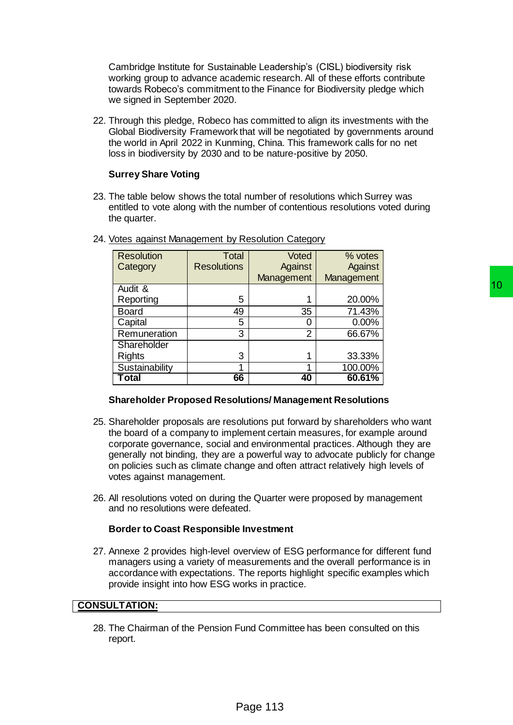Cambridge Institute for Sustainable Leadership's (CISL) biodiversity risk working group to advance academic research. All of these efforts contribute towards Robeco's commitment to the Finance for Biodiversity pledge which we signed in September 2020.

22. Through this pledge, Robeco has committed to align its investments with the Global Biodiversity Framework that will be negotiated by governments around the world in April 2022 in Kunming, China. This framework calls for no net loss in biodiversity by 2030 and to be nature-positive by 2050.

# **Surrey Share Voting**

23. The table below shows the total number of resolutions which Surrey was entitled to vote along with the number of contentious resolutions voted during the quarter.

| <b>Resolution</b>                                                                                                                                                                                                                                                                                                                                                                                                                                                                                                                                                                                                                                                                                                                                                                                                                                                                                                                                                                                  | <b>Total</b>       | Voted          | % votes    |    |
|----------------------------------------------------------------------------------------------------------------------------------------------------------------------------------------------------------------------------------------------------------------------------------------------------------------------------------------------------------------------------------------------------------------------------------------------------------------------------------------------------------------------------------------------------------------------------------------------------------------------------------------------------------------------------------------------------------------------------------------------------------------------------------------------------------------------------------------------------------------------------------------------------------------------------------------------------------------------------------------------------|--------------------|----------------|------------|----|
| Category                                                                                                                                                                                                                                                                                                                                                                                                                                                                                                                                                                                                                                                                                                                                                                                                                                                                                                                                                                                           | <b>Resolutions</b> | Against        | Against    |    |
|                                                                                                                                                                                                                                                                                                                                                                                                                                                                                                                                                                                                                                                                                                                                                                                                                                                                                                                                                                                                    |                    | Management     | Management |    |
| Audit &                                                                                                                                                                                                                                                                                                                                                                                                                                                                                                                                                                                                                                                                                                                                                                                                                                                                                                                                                                                            |                    |                |            | 10 |
| Reporting                                                                                                                                                                                                                                                                                                                                                                                                                                                                                                                                                                                                                                                                                                                                                                                                                                                                                                                                                                                          | 5                  | 1              | 20.00%     |    |
| <b>Board</b>                                                                                                                                                                                                                                                                                                                                                                                                                                                                                                                                                                                                                                                                                                                                                                                                                                                                                                                                                                                       | 49                 | 35             | 71.43%     |    |
| Capital                                                                                                                                                                                                                                                                                                                                                                                                                                                                                                                                                                                                                                                                                                                                                                                                                                                                                                                                                                                            | 5                  | 0              | $0.00\%$   |    |
| Remuneration                                                                                                                                                                                                                                                                                                                                                                                                                                                                                                                                                                                                                                                                                                                                                                                                                                                                                                                                                                                       | 3                  | $\overline{2}$ | 66.67%     |    |
| Shareholder                                                                                                                                                                                                                                                                                                                                                                                                                                                                                                                                                                                                                                                                                                                                                                                                                                                                                                                                                                                        |                    |                |            |    |
| <b>Rights</b>                                                                                                                                                                                                                                                                                                                                                                                                                                                                                                                                                                                                                                                                                                                                                                                                                                                                                                                                                                                      | 3                  | 1              | 33.33%     |    |
| Sustainability                                                                                                                                                                                                                                                                                                                                                                                                                                                                                                                                                                                                                                                                                                                                                                                                                                                                                                                                                                                     | 1                  | 1              | 100.00%    |    |
| <b>Total</b>                                                                                                                                                                                                                                                                                                                                                                                                                                                                                                                                                                                                                                                                                                                                                                                                                                                                                                                                                                                       | 66                 | 40             | 60.61%     |    |
| Shareholder proposals are resolutions put forward by shareholders who want<br>he board of a company to implement certain measures, for example around<br>corporate governance, social and environmental practices. Although they are<br>jenerally not binding, they are a powerful way to advocate publicly for change<br>on policies such as climate change and often attract relatively high levels of<br>otes against management.<br>Il resolutions voted on during the Quarter were proposed by management<br>and no resolutions were defeated.<br>Border to Coast Responsible Investment<br>Annexe 2 provides high-level overview of ESG performance for different fund<br>nanagers using a variety of measurements and the overall performance is in<br>accordance with expectations. The reports highlight specific examples which<br>provide insight into how ESG works in practice.<br><b>LTATION:</b><br>The Chairman of the Pension Fund Committee has been consulted on this<br>eport. |                    |                |            |    |
|                                                                                                                                                                                                                                                                                                                                                                                                                                                                                                                                                                                                                                                                                                                                                                                                                                                                                                                                                                                                    |                    |                |            |    |
|                                                                                                                                                                                                                                                                                                                                                                                                                                                                                                                                                                                                                                                                                                                                                                                                                                                                                                                                                                                                    |                    | Page 113       |            |    |

24. Votes against Management by Resolution Category

## **Shareholder Proposed Resolutions/ Management Resolutions**

- 25. Shareholder proposals are resolutions put forward by shareholders who want the board of a company to implement certain measures, for example around corporate governance, social and environmental practices. Although they are generally not binding, they are a powerful way to advocate publicly for change on policies such as climate change and often attract relatively high levels of votes against management.
- 26. All resolutions voted on during the Quarter were proposed by management and no resolutions were defeated.

## **Border to Coast Responsible Investment**

27. Annexe 2 provides high-level overview of ESG performance for different fund managers using a variety of measurements and the overall performance is in accordance with expectations. The reports highlight specific examples which provide insight into how ESG works in practice.

## **CONSULTATION:**

28. The Chairman of the Pension Fund Committee has been consulted on this report.